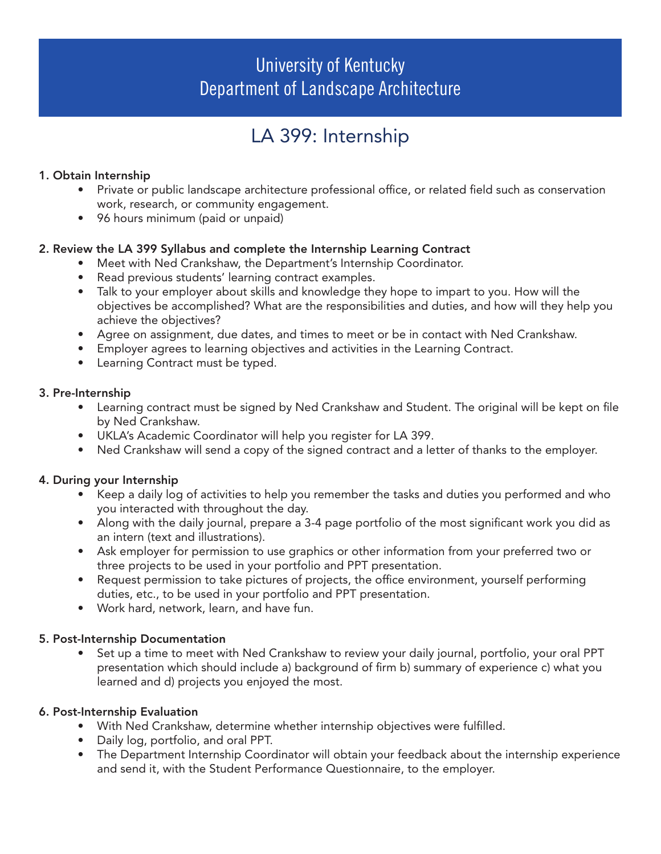## University of Kentucky Department of Landscape Architecture

# LA 399: Internship

## 1. Obtain Internship

- Private or public landscape architecture professional office, or related field such as conservation work, research, or community engagement.
- 96 hours minimum (paid or unpaid)

## 2. Review the LA 399 Syllabus and complete the Internship Learning Contract

- Meet with Ned Crankshaw, the Department's Internship Coordinator.
	- Read previous students' learning contract examples.
	- Talk to your employer about skills and knowledge they hope to impart to you. How will the objectives be accomplished? What are the responsibilities and duties, and how will they help you achieve the objectives?
	- Agree on assignment, due dates, and times to meet or be in contact with Ned Crankshaw.
- Employer agrees to learning objectives and activities in the Learning Contract.
- Learning Contract must be typed.

## 3. Pre-Internship

- Learning contract must be signed by Ned Crankshaw and Student. The original will be kept on file by Ned Crankshaw.
- UKLA's Academic Coordinator will help you register for LA 399.
- Ned Crankshaw will send a copy of the signed contract and a letter of thanks to the employer.

## 4. During your Internship

- Keep a daily log of activities to help you remember the tasks and duties you performed and who you interacted with throughout the day.
- Along with the daily journal, prepare a 3-4 page portfolio of the most significant work you did as an intern (text and illustrations).
- Ask employer for permission to use graphics or other information from your preferred two or three projects to be used in your portfolio and PPT presentation.
- Request permission to take pictures of projects, the office environment, yourself performing duties, etc., to be used in your portfolio and PPT presentation.
- Work hard, network, learn, and have fun.

## 5. Post-Internship Documentation

• Set up a time to meet with Ned Crankshaw to review your daily journal, portfolio, your oral PPT presentation which should include a) background of firm b) summary of experience c) what you learned and d) projects you enjoyed the most.

## 6. Post-Internship Evaluation

- With Ned Crankshaw, determine whether internship objectives were fulfilled.
- Daily log, portfolio, and oral PPT.
- The Department Internship Coordinator will obtain your feedback about the internship experience and send it, with the Student Performance Questionnaire, to the employer.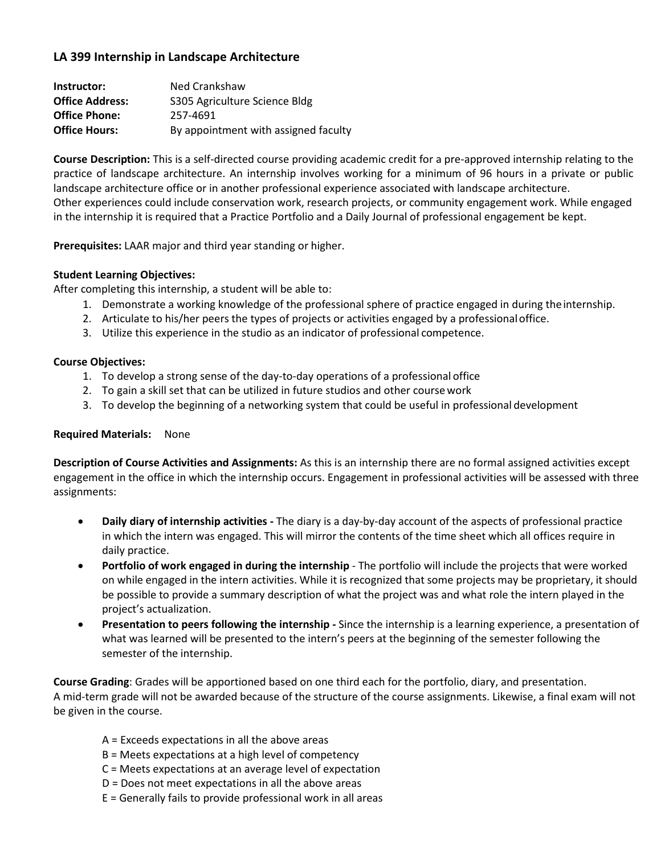## **LA 399 Internship in Landscape Architecture**

| Instructor:            | Ned Crankshaw                        |
|------------------------|--------------------------------------|
| <b>Office Address:</b> | S305 Agriculture Science Bldg        |
| <b>Office Phone:</b>   | 257-4691                             |
| <b>Office Hours:</b>   | By appointment with assigned faculty |

**Course Description:** This is a self-directed course providing academic credit for a pre-approved internship relating to the practice of landscape architecture. An internship involves working for a minimum of 96 hours in a private or public landscape architecture office or in another professional experience associated with landscape architecture. Other experiences could include conservation work, research projects, or community engagement work. While engaged in the internship it is required that a Practice Portfolio and a Daily Journal of professional engagement be kept.

**Prerequisites:** LAAR major and third year standing or higher.

#### **Student Learning Objectives:**

After completing this internship, a student will be able to:

- 1. Demonstrate a working knowledge of the professional sphere of practice engaged in during theinternship.
- 2. Articulate to his/her peers the types of projects or activities engaged by a professionaloffice.
- 3. Utilize this experience in the studio as an indicator of professional competence.

#### **Course Objectives:**

- 1. To develop a strong sense of the day-to-day operations of a professional office
- 2. To gain a skill set that can be utilized in future studios and other coursework
- 3. To develop the beginning of a networking system that could be useful in professional development

#### **Required Materials:** None

**Description of Course Activities and Assignments:** As this is an internship there are no formal assigned activities except engagement in the office in which the internship occurs. Engagement in professional activities will be assessed with three assignments:

- **Daily diary of internship activities -** The diary is a day-by-day account of the aspects of professional practice in which the intern was engaged. This will mirror the contents of the time sheet which all offices require in daily practice.
- **Portfolio of work engaged in during the internship**  The portfolio will include the projects that were worked on while engaged in the intern activities. While it is recognized that some projects may be proprietary, it should be possible to provide a summary description of what the project was and what role the intern played in the project's actualization.
- **Presentation to peers following the internship -** Since the internship is a learning experience, a presentation of what was learned will be presented to the intern's peers at the beginning of the semester following the semester of the internship.

**Course Grading**: Grades will be apportioned based on one third each for the portfolio, diary, and presentation. A mid-term grade will not be awarded because of the structure of the course assignments. Likewise, a final exam will not be given in the course.

- A = Exceeds expectations in all the above areas
- B = Meets expectations at a high level of competency
- C = Meets expectations at an average level of expectation
- D = Does not meet expectations in all the above areas
- E = Generally fails to provide professional work in all areas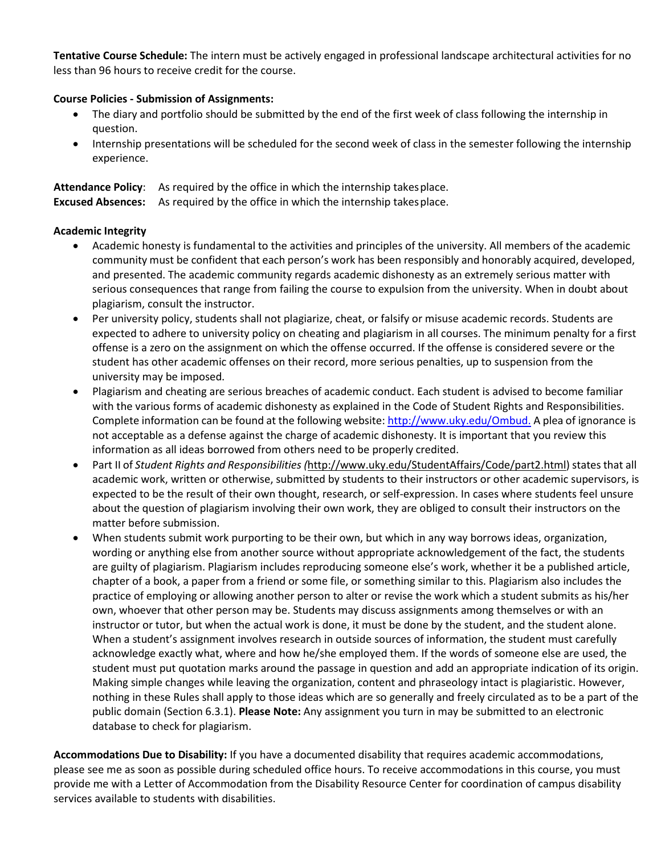**Tentative Course Schedule:** The intern must be actively engaged in professional landscape architectural activities for no less than 96 hours to receive credit for the course.

#### **Course Policies - Submission of Assignments:**

- The diary and portfolio should be submitted by the end of the first week of class following the internship in question.
- Internship presentations will be scheduled for the second week of class in the semester following the internship experience.

**Attendance Policy**: As required by the office in which the internship takesplace. **Excused Absences:** As required by the office in which the internship takesplace.

#### **Academic Integrity**

- Academic honesty is fundamental to the activities and principles of the university. All members of the academic community must be confident that each person's work has been responsibly and honorably acquired, developed, and presented. The academic community regards academic dishonesty as an extremely serious matter with serious consequences that range from failing the course to expulsion from the university. When in doubt about plagiarism, consult the instructor.
- Per university policy, students shall not plagiarize, cheat, or falsify or misuse academic records. Students are expected to adhere to university policy on cheating and plagiarism in all courses. The minimum penalty for a first offense is a zero on the assignment on which the offense occurred. If the offense is considered severe or the student has other academic offenses on their record, more serious penalties, up to suspension from the university may be imposed.
- Plagiarism and cheating are serious breaches of academic conduct. Each student is advised to become familiar with the various forms of academic dishonesty as explained in the Code of Student Rights and Responsibilities. Complete information can be found at the following website: [http://www.uky.edu/Ombud.](http://www.uky.edu/Ombud) A plea of ignorance is not acceptable as a defense against the charge of academic dishonesty. It is important that you review this information as all ideas borrowed from others need to be properly credited.
- Part II of *Student Rights and Responsibilities (http://www.uky.edu/StudentAffairs/Code/part2.html) states that all* academic work, written or otherwise, submitted by students to their instructors or other academic supervisors, is expected to be the result of their own thought, research, or self-expression. In cases where students feel unsure about the question of plagiarism involving their own work, they are obliged to consult their instructors on the matter before submission.
- When students submit work purporting to be their own, but which in any way borrows ideas, organization, wording or anything else from another source without appropriate acknowledgement of the fact, the students are guilty of plagiarism. Plagiarism includes reproducing someone else's work, whether it be a published article, chapter of a book, a paper from a friend or some file, or something similar to this. Plagiarism also includes the practice of employing or allowing another person to alter or revise the work which a student submits as his/her own, whoever that other person may be. Students may discuss assignments among themselves or with an instructor or tutor, but when the actual work is done, it must be done by the student, and the student alone. When a student's assignment involves research in outside sources of information, the student must carefully acknowledge exactly what, where and how he/she employed them. If the words of someone else are used, the student must put quotation marks around the passage in question and add an appropriate indication of its origin. Making simple changes while leaving the organization, content and phraseology intact is plagiaristic. However, nothing in these Rules shall apply to those ideas which are so generally and freely circulated as to be a part of the public domain (Section 6.3.1). **Please Note:** Any assignment you turn in may be submitted to an electronic database to check for plagiarism.

**Accommodations Due to Disability:** If you have a documented disability that requires academic accommodations, please see me as soon as possible during scheduled office hours. To receive accommodations in this course, you must provide me with a Letter of Accommodation from the Disability Resource Center for coordination of campus disability services available to students with disabilities.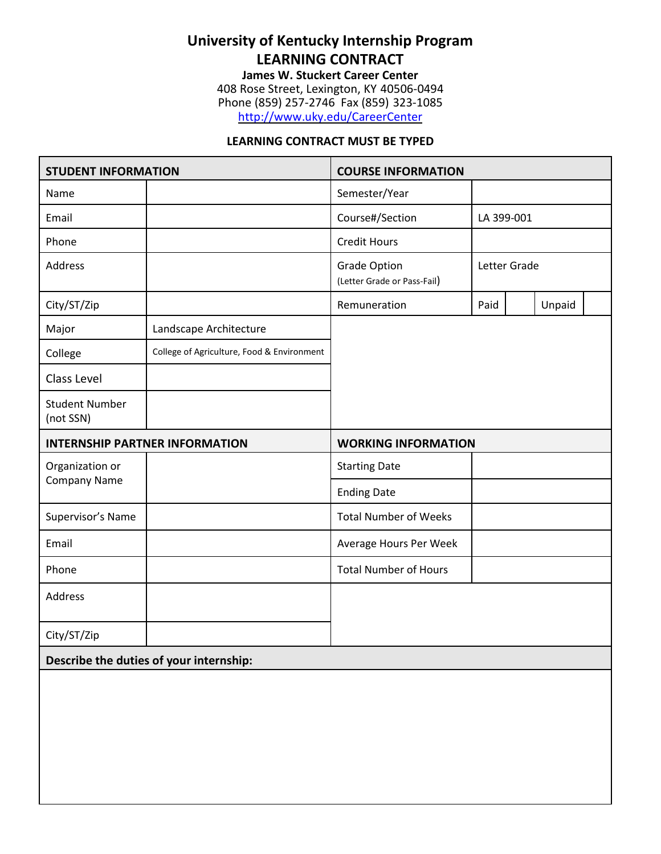## **University of Kentucky Internship Program LEARNING CONTRACT**

**James W. Stuckert Career Center** 408 Rose Street, Lexington, KY 40506-0494 Phone (859) 257-2746 Fax (859) 323-1085 <http://www.uky.edu/CareerCenter>

#### **LEARNING CONTRACT MUST BE TYPED**

| <b>STUDENT INFORMATION</b>             |                                            | <b>COURSE INFORMATION</b>                          |              |  |        |  |
|----------------------------------------|--------------------------------------------|----------------------------------------------------|--------------|--|--------|--|
| Name                                   |                                            | Semester/Year                                      |              |  |        |  |
| Email                                  |                                            | Course#/Section                                    | LA 399-001   |  |        |  |
| Phone                                  |                                            | <b>Credit Hours</b>                                |              |  |        |  |
| Address                                |                                            | <b>Grade Option</b><br>(Letter Grade or Pass-Fail) | Letter Grade |  |        |  |
| City/ST/Zip                            |                                            | Remuneration                                       | Paid         |  | Unpaid |  |
| Major                                  | Landscape Architecture                     |                                                    |              |  |        |  |
| College                                | College of Agriculture, Food & Environment |                                                    |              |  |        |  |
| Class Level                            |                                            |                                                    |              |  |        |  |
| <b>Student Number</b><br>(not SSN)     |                                            |                                                    |              |  |        |  |
| <b>INTERNSHIP PARTNER INFORMATION</b>  |                                            | <b>WORKING INFORMATION</b>                         |              |  |        |  |
| Organization or<br><b>Company Name</b> |                                            | <b>Starting Date</b>                               |              |  |        |  |
|                                        |                                            | <b>Ending Date</b>                                 |              |  |        |  |
| Supervisor's Name                      |                                            | <b>Total Number of Weeks</b>                       |              |  |        |  |
| Email                                  |                                            | Average Hours Per Week                             |              |  |        |  |
| Phone                                  |                                            | <b>Total Number of Hours</b>                       |              |  |        |  |
| Address                                |                                            |                                                    |              |  |        |  |
|                                        |                                            |                                                    |              |  |        |  |
| City/ST/Zip                            |                                            |                                                    |              |  |        |  |
|                                        | Describe the duties of your internship:    |                                                    |              |  |        |  |
|                                        |                                            |                                                    |              |  |        |  |
|                                        |                                            |                                                    |              |  |        |  |
|                                        |                                            |                                                    |              |  |        |  |
|                                        |                                            |                                                    |              |  |        |  |